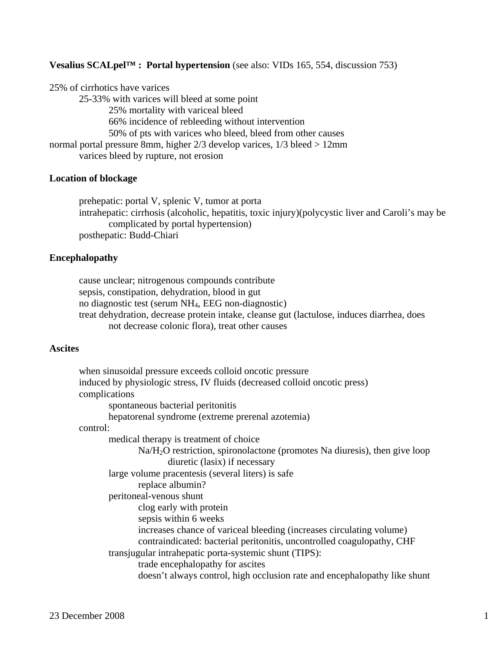### **Vesalius SCALpel™ : Portal hypertension** (see also: VIDs 165, 554, discussion 753)

25% of cirrhotics have varices 25-33% with varices will bleed at some point 25% mortality with variceal bleed 66% incidence of rebleeding without intervention 50% of pts with varices who bleed, bleed from other causes normal portal pressure 8mm, higher 2/3 develop varices, 1/3 bleed > 12mm varices bleed by rupture, not erosion

#### **Location of blockage**

 prehepatic: portal V, splenic V, tumor at porta intrahepatic: cirrhosis (alcoholic, hepatitis, toxic injury)(polycystic liver and Caroli's may be complicated by portal hypertension) posthepatic: Budd-Chiari

#### **Encephalopathy**

 cause unclear; nitrogenous compounds contribute sepsis, constipation, dehydration, blood in gut no diagnostic test (serum NH4, EEG non-diagnostic) treat dehydration, decrease protein intake, cleanse gut (lactulose, induces diarrhea, does not decrease colonic flora), treat other causes

### **Ascites**

| when sinusoidal pressure exceeds colloid oncotic pressure                   |
|-----------------------------------------------------------------------------|
| induced by physiologic stress, IV fluids (decreased colloid oncotic press)  |
| complications                                                               |
| spontaneous bacterial peritonitis                                           |
| hepatorenal syndrome (extreme prerenal azotemia)                            |
| control:                                                                    |
| medical therapy is treatment of choice                                      |
| $Na/H2O$ restriction, spironolactone (promotes Na diuresis), then give loop |
| diuretic (lasix) if necessary                                               |
| large volume pracentesis (several liters) is safe                           |
| replace albumin?                                                            |
| peritoneal-venous shunt                                                     |
| clog early with protein                                                     |
| sepsis within 6 weeks                                                       |
| increases chance of variceal bleeding (increases circulating volume)        |
| contraindicated: bacterial peritonitis, uncontrolled coagulopathy, CHF      |
| transjugular intrahepatic porta-systemic shunt (TIPS):                      |
| trade encephalopathy for ascites                                            |
| doesn't always control, high occlusion rate and encephalopathy like shunt   |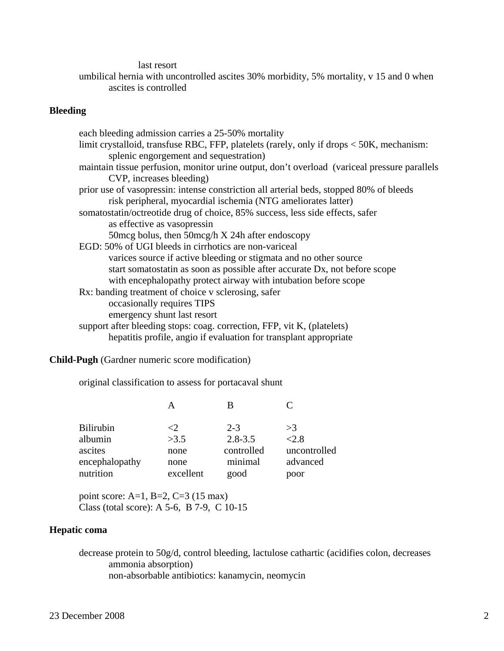last resort

 umbilical hernia with uncontrolled ascites 30% morbidity, 5% mortality, v 15 and 0 when ascites is controlled

# **Bleeding**

| each bleeding admission carries a 25-50% mortality                                           |
|----------------------------------------------------------------------------------------------|
| limit crystalloid, transfuse RBC, FFP, platelets (rarely, only if drops $<$ 50K, mechanism:  |
| splenic engorgement and sequestration)                                                       |
|                                                                                              |
| maintain tissue perfusion, monitor urine output, don't overload (variceal pressure parallels |
| CVP, increases bleeding)                                                                     |
| prior use of vasopressin: intense constriction all arterial beds, stopped 80% of bleeds      |
| risk peripheral, myocardial ischemia (NTG ameliorates latter)                                |
| somatostatin/octreotide drug of choice, 85% success, less side effects, safer                |
| as effective as vasopressin                                                                  |
| 50 mcg bolus, then 50 mcg/h X 24h after endoscopy                                            |
| EGD: 50% of UGI bleeds in cirrhotics are non-variceal                                        |
| varices source if active bleeding or stigmata and no other source                            |
| start somatostatin as soon as possible after accurate Dx, not before scope                   |
| with encephalopathy protect airway with intubation before scope                              |
| Rx: banding treatment of choice v sclerosing, safer                                          |
| occasionally requires TIPS                                                                   |
| emergency shunt last resort                                                                  |
| support after bleeding stops: coag. correction, FFP, vit K, (platelets)                      |
| hepatitis profile, angio if evaluation for transplant appropriate                            |

**Child-Pugh** (Gardner numeric score modification)

original classification to assess for portacaval shunt

| <b>Bilirubin</b> | <9.       | $2 - 3$     | >3           |
|------------------|-----------|-------------|--------------|
| albumin          | >3.5      | $2.8 - 3.5$ | < 2.8        |
| ascites          | none      | controlled  | uncontrolled |
| encephalopathy   | none      | minimal     | advanced     |
| nutrition        | excellent | good        | poor         |

 point score: A=1, B=2, C=3 (15 max) Class (total score): A 5-6, B 7-9, C 10-15

# **Hepatic coma**

 decrease protein to 50g/d, control bleeding, lactulose cathartic (acidifies colon, decreases ammonia absorption) non-absorbable antibiotics: kanamycin, neomycin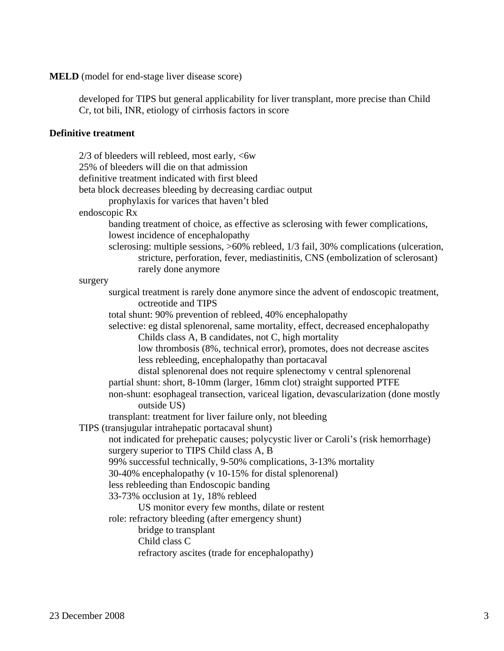## **MELD** (model for end-stage liver disease score)

 developed for TIPS but general applicability for liver transplant, more precise than Child Cr, tot bili, INR, etiology of cirrhosis factors in score

# **Definitive treatment**

|         | 2/3 of bleeders will rebleed, most early, <6w                                                                                                                                                  |
|---------|------------------------------------------------------------------------------------------------------------------------------------------------------------------------------------------------|
|         | 25% of bleeders will die on that admission                                                                                                                                                     |
|         | definitive treatment indicated with first bleed                                                                                                                                                |
|         | beta block decreases bleeding by decreasing cardiac output                                                                                                                                     |
|         | prophylaxis for varices that haven't bled                                                                                                                                                      |
|         | endoscopic Rx                                                                                                                                                                                  |
|         | banding treatment of choice, as effective as sclerosing with fewer complications,<br>lowest incidence of encephalopathy                                                                        |
|         | sclerosing: multiple sessions, >60% rebleed, 1/3 fail, 30% complications (ulceration,<br>stricture, perforation, fever, mediastinitis, CNS (embolization of sclerosant)<br>rarely done anymore |
| surgery |                                                                                                                                                                                                |
|         | surgical treatment is rarely done anymore since the advent of endoscopic treatment,<br>octreotide and TIPS                                                                                     |
|         | total shunt: 90% prevention of rebleed, 40% encephalopathy                                                                                                                                     |
|         | selective: eg distal splenorenal, same mortality, effect, decreased encephalopathy                                                                                                             |
|         | Childs class A, B candidates, not C, high mortality                                                                                                                                            |
|         | low thrombosis (8%, technical error), promotes, does not decrease ascites                                                                                                                      |
|         | less rebleeding, encephalopathy than portacaval                                                                                                                                                |
|         | distal splenorenal does not require splenectomy v central splenorenal                                                                                                                          |
|         | partial shunt: short, 8-10mm (larger, 16mm clot) straight supported PTFE                                                                                                                       |
|         | non-shunt: esophageal transection, variceal ligation, devascularization (done mostly<br>outside US)                                                                                            |
|         | transplant: treatment for liver failure only, not bleeding                                                                                                                                     |
|         | TIPS (transjugular intrahepatic portacaval shunt)                                                                                                                                              |
|         | not indicated for prehepatic causes; polycystic liver or Caroli's (risk hemorrhage)<br>surgery superior to TIPS Child class A, B                                                               |
|         | 99% successful technically, 9-50% complications, 3-13% mortality                                                                                                                               |
|         | 30-40% encephalopathy (v 10-15% for distal splenorenal)                                                                                                                                        |
|         | less rebleeding than Endoscopic banding                                                                                                                                                        |
|         | 33-73% occlusion at 1y, 18% rebleed                                                                                                                                                            |
|         | US monitor every few months, dilate or restent                                                                                                                                                 |
|         | role: refractory bleeding (after emergency shunt)                                                                                                                                              |
|         | bridge to transplant                                                                                                                                                                           |
|         | Child class C                                                                                                                                                                                  |
|         | refractory ascites (trade for encephalopathy)                                                                                                                                                  |